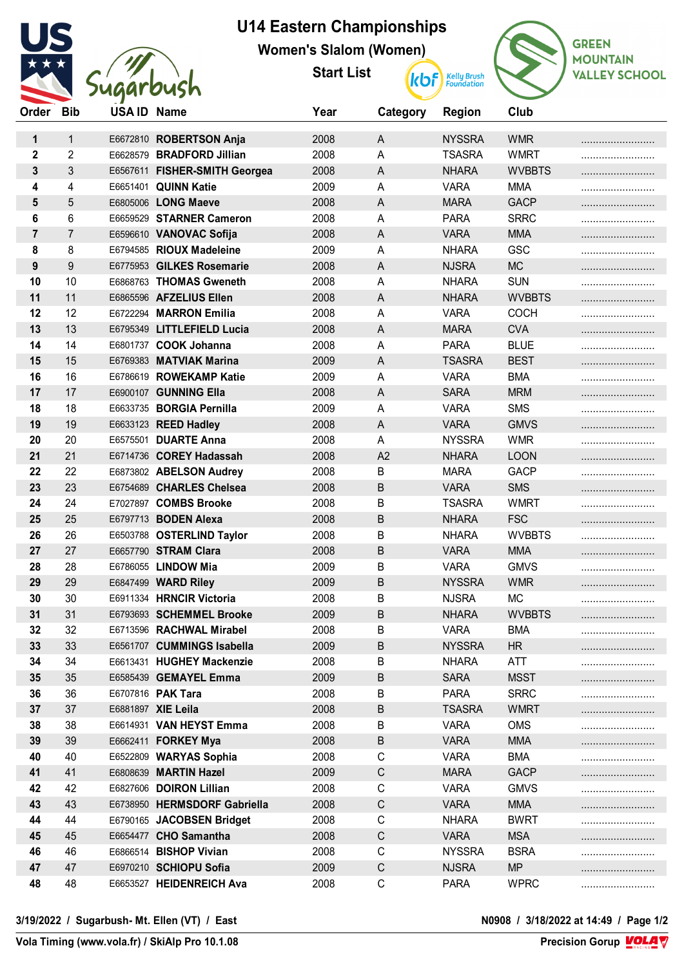

## **U14 Eastern Championships**

**Women's Slalom (Women)**

**Start List**



| Order          | <b>Bib</b>     | <b>USAID Name</b> |                               | Year | Category     | <b>Region</b> | Club          |  |
|----------------|----------------|-------------------|-------------------------------|------|--------------|---------------|---------------|--|
| 1              | $\mathbf{1}$   |                   | E6672810 ROBERTSON Anja       | 2008 | $\mathsf{A}$ | <b>NYSSRA</b> | <b>WMR</b>    |  |
| $\mathbf 2$    | 2              |                   | E6628579 BRADFORD Jillian     | 2008 | A            | <b>TSASRA</b> | <b>WMRT</b>   |  |
| 3              | 3              |                   | E6567611 FISHER-SMITH Georgea | 2008 | A            | <b>NHARA</b>  | <b>WVBBTS</b> |  |
| 4              | 4              |                   | E6651401 QUINN Katie          | 2009 | А            | <b>VARA</b>   | <b>MMA</b>    |  |
| 5              | 5              |                   | E6805006 LONG Maeve           | 2008 | A            | <b>MARA</b>   | <b>GACP</b>   |  |
| 6              | 6              |                   | E6659529 STARNER Cameron      | 2008 | A            | <b>PARA</b>   | <b>SRRC</b>   |  |
| $\overline{7}$ | $\overline{7}$ |                   | E6596610 VANOVAC Sofija       | 2008 | $\mathsf{A}$ | <b>VARA</b>   | <b>MMA</b>    |  |
| 8              | 8              |                   | E6794585 RIOUX Madeleine      | 2009 | A            | <b>NHARA</b>  | <b>GSC</b>    |  |
| 9              | 9              |                   | E6775953 GILKES Rosemarie     | 2008 | A            | <b>NJSRA</b>  | <b>MC</b>     |  |
| 10             | 10             |                   | E6868763 THOMAS Gweneth       | 2008 | А            | <b>NHARA</b>  | <b>SUN</b>    |  |
| 11             | 11             |                   | E6865596 AFZELIUS Ellen       | 2008 | A            | <b>NHARA</b>  | <b>WVBBTS</b> |  |
| 12             | 12             |                   | E6722294 MARRON Emilia        | 2008 | Α            | <b>VARA</b>   | <b>COCH</b>   |  |
| 13             | 13             |                   | E6795349 LITTLEFIELD Lucia    | 2008 | A            | <b>MARA</b>   | <b>CVA</b>    |  |
| 14             | 14             |                   | E6801737 COOK Johanna         | 2008 | A            | <b>PARA</b>   | <b>BLUE</b>   |  |
| 15             | 15             |                   | E6769383 MATVIAK Marina       | 2009 | A            | <b>TSASRA</b> | <b>BEST</b>   |  |
| 16             | 16             |                   | E6786619 ROWEKAMP Katie       | 2009 | A            | <b>VARA</b>   | <b>BMA</b>    |  |
| 17             | 17             |                   | E6900107 GUNNING Ella         | 2008 | $\mathsf{A}$ | <b>SARA</b>   | <b>MRM</b>    |  |
| 18             | 18             |                   | E6633735 BORGIA Pernilla      | 2009 | A            | <b>VARA</b>   | <b>SMS</b>    |  |
| 19             | 19             |                   | E6633123 REED Hadley          | 2008 | A            | <b>VARA</b>   | <b>GMVS</b>   |  |
| 20             | 20             |                   | E6575501 DUARTE Anna          | 2008 | A            | <b>NYSSRA</b> | <b>WMR</b>    |  |
| 21             | 21             |                   | E6714736 COREY Hadassah       | 2008 | A2           | <b>NHARA</b>  | <b>LOON</b>   |  |
| 22             | 22             |                   | E6873802 ABELSON Audrey       | 2008 | В            | <b>MARA</b>   | <b>GACP</b>   |  |
| 23             | 23             |                   | E6754689 CHARLES Chelsea      | 2008 | B            | <b>VARA</b>   | <b>SMS</b>    |  |
| 24             | 24             |                   | E7027897 COMBS Brooke         | 2008 | В            | <b>TSASRA</b> | <b>WMRT</b>   |  |
| 25             | 25             |                   | E6797713 BODEN Alexa          | 2008 | B            | <b>NHARA</b>  | <b>FSC</b>    |  |
| 26             | 26             |                   | E6503788 OSTERLIND Taylor     | 2008 | В            | <b>NHARA</b>  | <b>WVBBTS</b> |  |
| 27             | 27             |                   | E6657790 STRAM Clara          | 2008 | B            | <b>VARA</b>   | <b>MMA</b>    |  |
| 28             | 28             |                   | E6786055 LINDOW Mia           | 2009 | В            | <b>VARA</b>   | <b>GMVS</b>   |  |
| 29             | 29             |                   | E6847499 WARD Riley           | 2009 | B            | <b>NYSSRA</b> | <b>WMR</b>    |  |
| 30             | 30             |                   | E6911334 HRNCIR Victoria      | 2008 | В            | <b>NJSRA</b>  | <b>MC</b>     |  |
| 31             | 31             |                   | E6793693 SCHEMMEL Brooke      | 2009 | B            | <b>NHARA</b>  | <b>WVBBTS</b> |  |
| 32             | 32             |                   | E6713596 RACHWAL Mirabel      | 2008 | B            | <b>VARA</b>   | <b>BMA</b>    |  |
| 33             | 33             |                   | E6561707 CUMMINGS Isabella    | 2009 | В            | <b>NYSSRA</b> | <b>HR</b>     |  |
| 34             | 34             |                   | E6613431 HUGHEY Mackenzie     | 2008 | В            | <b>NHARA</b>  | ATT           |  |
| 35             | 35             |                   | E6585439 GEMAYEL Emma         | 2009 | B            | <b>SARA</b>   | <b>MSST</b>   |  |
| 36             | 36             |                   | E6707816 PAK Tara             | 2008 | В            | <b>PARA</b>   | <b>SRRC</b>   |  |
| 37             | 37             |                   | E6881897 XIE Leila            | 2008 | B            | <b>TSASRA</b> | <b>WMRT</b>   |  |
| 38             | 38             |                   | E6614931 VAN HEYST Emma       | 2008 | В            | <b>VARA</b>   | <b>OMS</b>    |  |
| 39             | 39             |                   | E6662411 FORKEY Mya           | 2008 | В            | <b>VARA</b>   | <b>MMA</b>    |  |
| 40             | 40             |                   | E6522809 WARYAS Sophia        | 2008 | C            | <b>VARA</b>   | <b>BMA</b>    |  |
| 41             | 41             |                   | E6808639 MARTIN Hazel         | 2009 | $\mathsf C$  | <b>MARA</b>   | <b>GACP</b>   |  |
| 42             | 42             |                   | E6827606 DOIRON Lillian       | 2008 | С            | <b>VARA</b>   | <b>GMVS</b>   |  |
| 43             | 43             |                   | E6738950 HERMSDORF Gabriella  | 2008 | $\mathsf C$  | <b>VARA</b>   | <b>MMA</b>    |  |
| 44             | 44             |                   | E6790165 JACOBSEN Bridget     | 2008 | C            | <b>NHARA</b>  | <b>BWRT</b>   |  |
| 45             | 45             |                   | E6654477 CHO Samantha         | 2008 | $\mathsf C$  | <b>VARA</b>   | <b>MSA</b>    |  |
| 46             | 46             |                   | E6866514 BISHOP Vivian        | 2008 | C            | <b>NYSSRA</b> | <b>BSRA</b>   |  |
| 47             | 47             |                   | E6970210 SCHIOPU Sofia        | 2009 | $\mathsf C$  | <b>NJSRA</b>  | <b>MP</b>     |  |
| 48             | 48             |                   | E6653527 HEIDENREICH Ava      | 2008 | С            | <b>PARA</b>   | <b>WPRC</b>   |  |

**3/19/2022 / Sugarbush- Mt. Ellen (VT) / East N0908 / 3/18/2022 at 14:49 / Page 1/2**